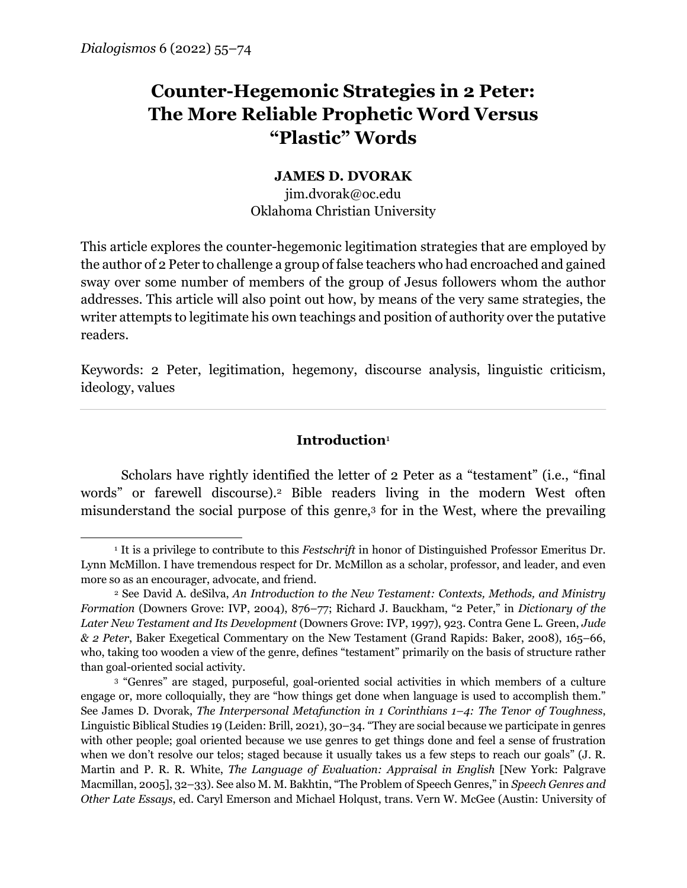# **Counter-Hegemonic Strategies in 2 Peter: The More Reliable Prophetic Word Versus "Plastic" Words**

# **JAMES D. DVORAK**

jim.dvorak@oc.edu Oklahoma Christian University

This article explores the counter-hegemonic legitimation strategies that are employed by the author of 2 Peter to challenge a group of false teachers who had encroached and gained sway over some number of members of the group of Jesus followers whom the author addresses. This article will also point out how, by means of the very same strategies, the writer attempts to legitimate his own teachings and position of authority over the putative readers.

Keywords: 2 Peter, legitimation, hegemony, discourse analysis, linguistic criticism, ideology, values

## **Introduction**<sup>1</sup>

Scholars have rightly identified the letter of 2 Peter as a "testament" (i.e., "final words" or farewell discourse).2 Bible readers living in the modern West often misunderstand the social purpose of this genre,3 for in the West, where the prevailing

<sup>1</sup> It is a privilege to contribute to this *Festschrift* in honor of Distinguished Professor Emeritus Dr. Lynn McMillon. I have tremendous respect for Dr. McMillon as a scholar, professor, and leader, and even more so as an encourager, advocate, and friend.

<sup>2</sup> See David A. deSilva, *An Introduction to the New Testament: Contexts, Methods, and Ministry Formation* (Downers Grove: IVP, 2004), 876–77; Richard J. Bauckham, "2 Peter," in *Dictionary of the Later New Testament and Its Development* (Downers Grove: IVP, 1997), 923. Contra Gene L. Green, *Jude & 2 Peter*, Baker Exegetical Commentary on the New Testament (Grand Rapids: Baker, 2008), 165–66, who, taking too wooden a view of the genre, defines "testament" primarily on the basis of structure rather than goal-oriented social activity.

<sup>3</sup> "Genres" are staged, purposeful, goal-oriented social activities in which members of a culture engage or, more colloquially, they are "how things get done when language is used to accomplish them." See James D. Dvorak, *The Interpersonal Metafunction in 1 Corinthians 1–4: The Tenor of Toughness*, Linguistic Biblical Studies 19 (Leiden: Brill, 2021), 30–34. "They are social because we participate in genres with other people; goal oriented because we use genres to get things done and feel a sense of frustration when we don't resolve our telos; staged because it usually takes us a few steps to reach our goals" (J. R. Martin and P. R. R. White, *The Language of Evaluation: Appraisal in English* [New York: Palgrave Macmillan, 2005], 32–33). See also M. M. Bakhtin, "The Problem of Speech Genres," in *Speech Genres and Other Late Essays*, ed. Caryl Emerson and Michael Holqust, trans. Vern W. McGee (Austin: University of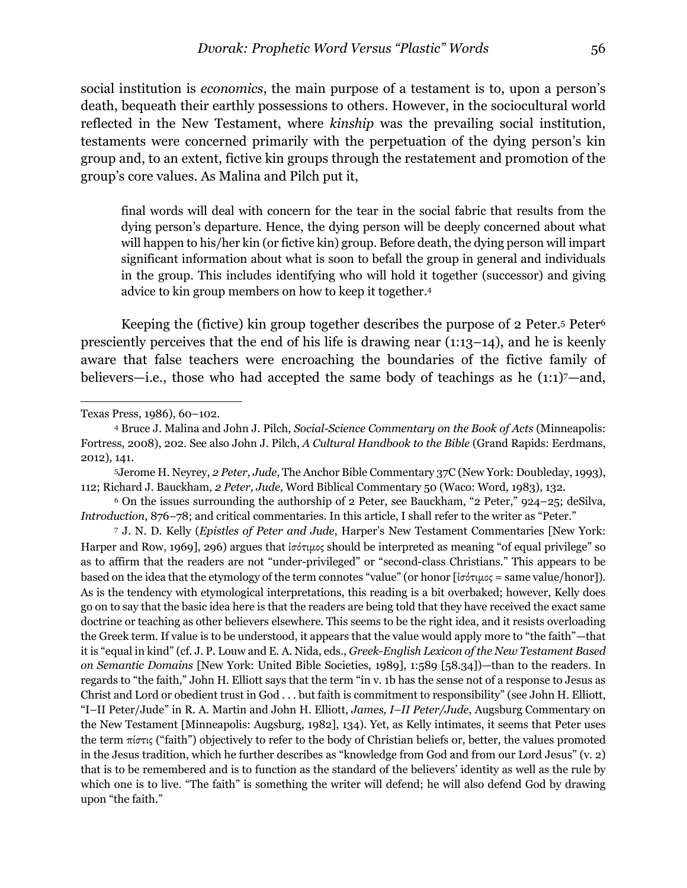social institution is *economics*, the main purpose of a testament is to, upon a person's death, bequeath their earthly possessions to others. However, in the sociocultural world reflected in the New Testament, where *kinship* was the prevailing social institution, testaments were concerned primarily with the perpetuation of the dying person's kin group and, to an extent, fictive kin groups through the restatement and promotion of the group's core values. As Malina and Pilch put it,

final words will deal with concern for the tear in the social fabric that results from the dying person's departure. Hence, the dying person will be deeply concerned about what will happen to his/her kin (or fictive kin) group. Before death, the dying person will impart significant information about what is soon to befall the group in general and individuals in the group. This includes identifying who will hold it together (successor) and giving advice to kin group members on how to keep it together.4

Keeping the (fictive) kin group together describes the purpose of 2 Peter.<sup>5</sup> Peter<sup>6</sup> presciently perceives that the end of his life is drawing near (1:13–14), and he is keenly aware that false teachers were encroaching the boundaries of the fictive family of believers—i.e., those who had accepted the same body of teachings as he  $(1:1)$ 7—and,

Texas Press, 1986), 60–102.

<sup>4</sup> Bruce J. Malina and John J. Pilch, *Social-Science Commentary on the Book of Acts* (Minneapolis: Fortress, 2008), 202. See also John J. Pilch, *A Cultural Handbook to the Bible* (Grand Rapids: Eerdmans, 2012), 141.

<sup>5</sup>Jerome H. Neyrey, *2 Peter, Jude*, The Anchor Bible Commentary 37C (New York: Doubleday, 1993), 112; Richard J. Bauckham, *2 Peter, Jude*, Word Biblical Commentary 50 (Waco: Word, 1983), 132.

<sup>6</sup> On the issues surrounding the authorship of 2 Peter, see Bauckham, "2 Peter," 924–25; deSilva, *Introduction*, 876–78; and critical commentaries. In this article, I shall refer to the writer as "Peter."

<sup>7</sup> J. N. D. Kelly (*Epistles of Peter and Jude*, Harper's New Testament Commentaries [New York: Harper and Row, 1969], 296) argues that *ισότιμος* should be interpreted as meaning "of equal privilege" so as to affirm that the readers are not "under-privileged" or "second-class Christians." This appears to be based on the idea that the etymology of the term connotes "value" (or honor [ἰσότιµος = same value/honor]). As is the tendency with etymological interpretations, this reading is a bit overbaked; however, Kelly does go on to say that the basic idea here is that the readers are being told that they have received the exact same doctrine or teaching as other believers elsewhere. This seems to be the right idea, and it resists overloading the Greek term. If value is to be understood, it appears that the value would apply more to "the faith"—that it is "equal in kind" (cf. J. P. Louw and E. A. Nida, eds., *Greek-English Lexicon of the New Testament Based on Semantic Domains* [New York: United Bible Societies, 1989], 1:589 [58.34])—than to the readers. In regards to "the faith," John H. Elliott says that the term "in v. 1b has the sense not of a response to Jesus as Christ and Lord or obedient trust in God . . . but faith is commitment to responsibility" (see John H. Elliott, "I–II Peter/Jude" in R. A. Martin and John H. Elliott, *James, I–II Peter/Jude*, Augsburg Commentary on the New Testament [Minneapolis: Augsburg, 1982], 134). Yet, as Kelly intimates, it seems that Peter uses the term πίστις ("faith") objectively to refer to the body of Christian beliefs or, better, the values promoted in the Jesus tradition, which he further describes as "knowledge from God and from our Lord Jesus" (v. 2) that is to be remembered and is to function as the standard of the believers' identity as well as the rule by which one is to live. "The faith" is something the writer will defend; he will also defend God by drawing upon "the faith."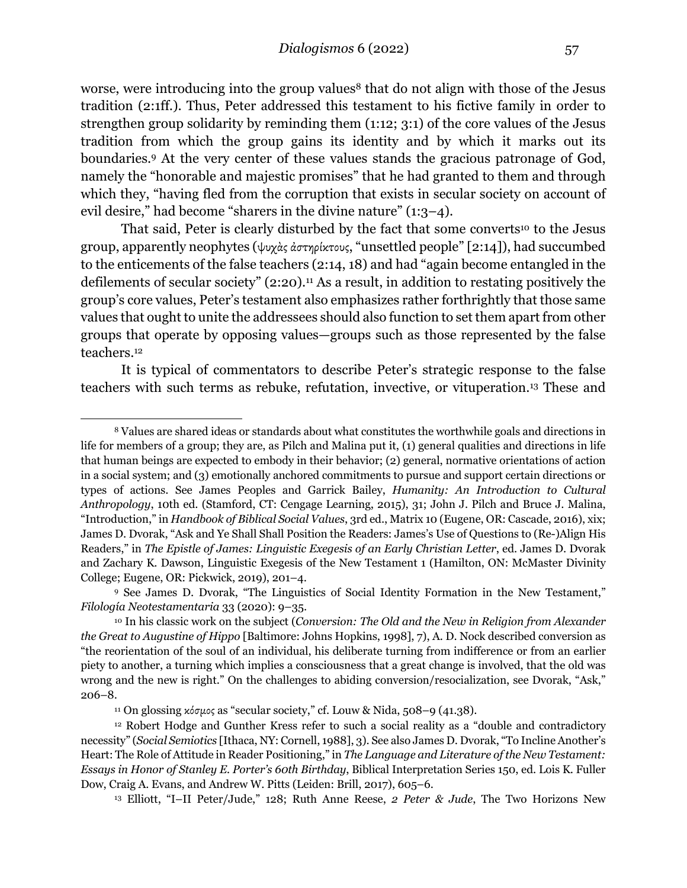worse, were introducing into the group values<sup>8</sup> that do not align with those of the Jesus tradition (2:1ff.). Thus, Peter addressed this testament to his fictive family in order to strengthen group solidarity by reminding them (1:12; 3:1) of the core values of the Jesus tradition from which the group gains its identity and by which it marks out its boundaries.9 At the very center of these values stands the gracious patronage of God, namely the "honorable and majestic promises" that he had granted to them and through which they, "having fled from the corruption that exists in secular society on account of evil desire," had become "sharers in the divine nature" (1:3–4).

That said, Peter is clearly disturbed by the fact that some converts<sup>10</sup> to the Jesus group, apparently neophytes (ψυχὰς ἀστηρίκτους, "unsettled people" [2:14]), had succumbed to the enticements of the false teachers (2:14, 18) and had "again become entangled in the defilements of secular society" (2:20).<sup>11</sup> As a result, in addition to restating positively the group's core values, Peter's testament also emphasizes rather forthrightly that those same values that ought to unite the addressees should also function to set them apart from other groups that operate by opposing values—groups such as those represented by the false teachers.12

It is typical of commentators to describe Peter's strategic response to the false teachers with such terms as rebuke, refutation, invective, or vituperation.13 These and

<sup>8</sup> Values are shared ideas or standards about what constitutes the worthwhile goals and directions in life for members of a group; they are, as Pilch and Malina put it, (1) general qualities and directions in life that human beings are expected to embody in their behavior; (2) general, normative orientations of action in a social system; and (3) emotionally anchored commitments to pursue and support certain directions or types of actions. See James Peoples and Garrick Bailey, *Humanity: An Introduction to Cultural Anthropology*, 10th ed. (Stamford, CT: Cengage Learning, 2015), 31; John J. Pilch and Bruce J. Malina, "Introduction," in *Handbook of Biblical Social Values*, 3rd ed., Matrix 10 (Eugene, OR: Cascade, 2016), xix; James D. Dvorak, "Ask and Ye Shall Shall Position the Readers: James's Use of Questions to (Re-)Align His Readers," in *The Epistle of James: Linguistic Exegesis of an Early Christian Letter*, ed. James D. Dvorak and Zachary K. Dawson, Linguistic Exegesis of the New Testament 1 (Hamilton, ON: McMaster Divinity College; Eugene, OR: Pickwick, 2019), 201–4.

<sup>9</sup> See James D. Dvorak, "The Linguistics of Social Identity Formation in the New Testament," *Filología Neotestamentaria* 33 (2020): 9–35.

<sup>10</sup> In his classic work on the subject (*Conversion: The Old and the New in Religion from Alexander the Great to Augustine of Hippo* [Baltimore: Johns Hopkins, 1998], 7), A. D. Nock described conversion as "the reorientation of the soul of an individual, his deliberate turning from indifference or from an earlier piety to another, a turning which implies a consciousness that a great change is involved, that the old was wrong and the new is right." On the challenges to abiding conversion/resocialization, see Dvorak, "Ask," 206–8.

<sup>&</sup>lt;sup>11</sup> On glossing κόσμος as "secular society," cf. Louw & Nida, 508–9 (41.38).

<sup>12</sup> Robert Hodge and Gunther Kress refer to such a social reality as a "double and contradictory necessity" (*Social Semiotics* [Ithaca, NY: Cornell, 1988], 3). See also James D. Dvorak, "To Incline Another's Heart: The Role of Attitude in Reader Positioning," in *The Language and Literature of the New Testament: Essays in Honor of Stanley E. Porter's 60th Birthday*, Biblical Interpretation Series 150, ed. Lois K. Fuller Dow, Craig A. Evans, and Andrew W. Pitts (Leiden: Brill, 2017), 605–6.

<sup>13</sup> Elliott, "I–II Peter/Jude," 128; Ruth Anne Reese, *2 Peter & Jude*, The Two Horizons New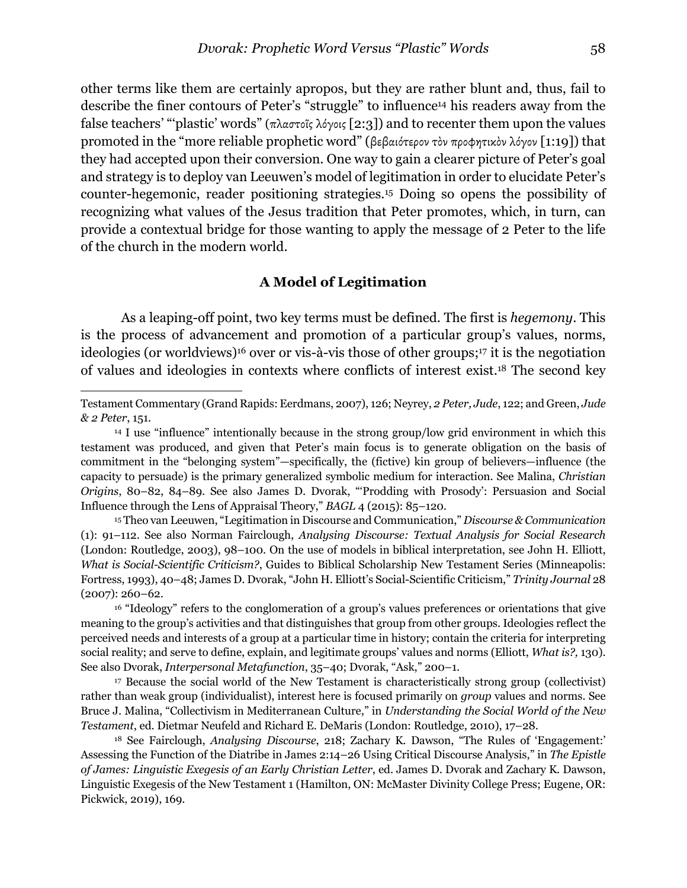other terms like them are certainly apropos, but they are rather blunt and, thus, fail to describe the finer contours of Peter's "struggle" to influence14 his readers away from the false teachers' "'plastic' words" (πλαστοῖς λόγοις [2:3]) and to recenter them upon the values promoted in the "more reliable prophetic word" (βεβαιότερον τὸν προφητικὸν λόγον [1:19]) that they had accepted upon their conversion. One way to gain a clearer picture of Peter's goal and strategy is to deploy van Leeuwen's model of legitimation in order to elucidate Peter's counter-hegemonic, reader positioning strategies.15 Doing so opens the possibility of recognizing what values of the Jesus tradition that Peter promotes, which, in turn, can provide a contextual bridge for those wanting to apply the message of 2 Peter to the life of the church in the modern world.

#### **A Model of Legitimation**

As a leaping-off point, two key terms must be defined. The first is *hegemony*. This is the process of advancement and promotion of a particular group's values, norms, ideologies (or worldviews)16 over or vis-à-vis those of other groups;17 it is the negotiation of values and ideologies in contexts where conflicts of interest exist.18 The second key

<sup>15</sup> Theo van Leeuwen, "Legitimation in Discourse and Communication," *Discourse & Communication* (1): 91–112. See also Norman Fairclough, *Analysing Discourse: Textual Analysis for Social Research* (London: Routledge, 2003), 98–100. On the use of models in biblical interpretation, see John H. Elliott, *What is Social-Scientific Criticism?*, Guides to Biblical Scholarship New Testament Series (Minneapolis: Fortress, 1993), 40–48; James D. Dvorak, "John H. Elliott's Social-Scientific Criticism," *Trinity Journal* 28 (2007): 260–62.

<sup>16</sup> "Ideology" refers to the conglomeration of a group's values preferences or orientations that give meaning to the group's activities and that distinguishes that group from other groups. Ideologies reflect the perceived needs and interests of a group at a particular time in history; contain the criteria for interpreting social reality; and serve to define, explain, and legitimate groups' values and norms (Elliott, *What is?,* 130). See also Dvorak, *Interpersonal Metafunction*, 35–40; Dvorak, "Ask," 200–1.

<sup>17</sup> Because the social world of the New Testament is characteristically strong group (collectivist) rather than weak group (individualist), interest here is focused primarily on *group* values and norms. See Bruce J. Malina, "Collectivism in Mediterranean Culture," in *Understanding the Social World of the New Testament*, ed. Dietmar Neufeld and Richard E. DeMaris (London: Routledge, 2010), 17–28.

<sup>18</sup> See Fairclough, *Analysing Discourse*, 218; Zachary K. Dawson, "The Rules of 'Engagement:' Assessing the Function of the Diatribe in James 2:14–26 Using Critical Discourse Analysis," in *The Epistle of James: Linguistic Exegesis of an Early Christian Letter*, ed. James D. Dvorak and Zachary K. Dawson, Linguistic Exegesis of the New Testament 1 (Hamilton, ON: McMaster Divinity College Press; Eugene, OR: Pickwick, 2019), 169.

Testament Commentary (Grand Rapids: Eerdmans, 2007), 126; Neyrey, *2 Peter, Jude*, 122; and Green, *Jude & 2 Peter*, 151.

<sup>14</sup> I use "influence" intentionally because in the strong group/low grid environment in which this testament was produced, and given that Peter's main focus is to generate obligation on the basis of commitment in the "belonging system"—specifically, the (fictive) kin group of believers—influence (the capacity to persuade) is the primary generalized symbolic medium for interaction. See Malina, *Christian Origins*, 80–82, 84–89. See also James D. Dvorak, "'Prodding with Prosody': Persuasion and Social Influence through the Lens of Appraisal Theory," *BAGL* 4 (2015): 85–120.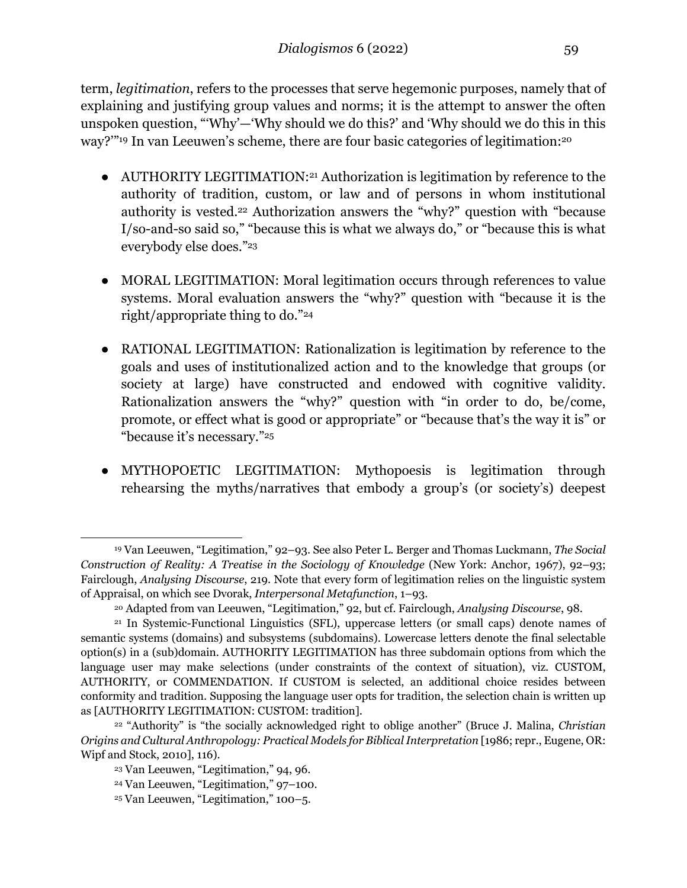term, *legitimation*, refers to the processes that serve hegemonic purposes, namely that of explaining and justifying group values and norms; it is the attempt to answer the often unspoken question, "'Why'—'Why should we do this?' and 'Why should we do this in this way?'"19 In van Leeuwen's scheme, there are four basic categories of legitimation:20

- AUTHORITY LEGITIMATION:<sup>21</sup> Authorization is legitimation by reference to the authority of tradition, custom, or law and of persons in whom institutional authority is vested.<sup>22</sup> Authorization answers the "why?" question with "because I/so-and-so said so," "because this is what we always do," or "because this is what everybody else does."23
- MORAL LEGITIMATION: Moral legitimation occurs through references to value systems. Moral evaluation answers the "why?" question with "because it is the right/appropriate thing to do."24
- RATIONAL LEGITIMATION: Rationalization is legitimation by reference to the goals and uses of institutionalized action and to the knowledge that groups (or society at large) have constructed and endowed with cognitive validity. Rationalization answers the "why?" question with "in order to do, be/come, promote, or effect what is good or appropriate" or "because that's the way it is" or "because it's necessary."25
- MYTHOPOETIC LEGITIMATION: Mythopoesis is legitimation through rehearsing the myths/narratives that embody a group's (or society's) deepest

<sup>19</sup> Van Leeuwen, "Legitimation," 92–93. See also Peter L. Berger and Thomas Luckmann, *The Social Construction of Reality: A Treatise in the Sociology of Knowledge* (New York: Anchor, 1967), 92–93; Fairclough, *Analysing Discourse*, 219. Note that every form of legitimation relies on the linguistic system of Appraisal, on which see Dvorak, *Interpersonal Metafunction*, 1–93.

<sup>20</sup> Adapted from van Leeuwen, "Legitimation," 92, but cf. Fairclough, *Analysing Discourse*, 98.

<sup>21</sup> In Systemic-Functional Linguistics (SFL), uppercase letters (or small caps) denote names of semantic systems (domains) and subsystems (subdomains). Lowercase letters denote the final selectable option(s) in a (sub)domain. AUTHORITY LEGITIMATION has three subdomain options from which the language user may make selections (under constraints of the context of situation), viz. CUSTOM, AUTHORITY, or COMMENDATION. If CUSTOM is selected, an additional choice resides between conformity and tradition. Supposing the language user opts for tradition, the selection chain is written up as [AUTHORITY LEGITIMATION: CUSTOM: tradition].

<sup>22</sup> "Authority" is "the socially acknowledged right to oblige another" (Bruce J. Malina, *Christian Origins and Cultural Anthropology: Practical Models for Biblical Interpretation* [1986; repr., Eugene, OR: Wipf and Stock, 2010], 116).

<sup>23</sup> Van Leeuwen, "Legitimation," 94, 96.

<sup>24</sup> Van Leeuwen, "Legitimation," 97–100.

<sup>25</sup> Van Leeuwen, "Legitimation," 100–5.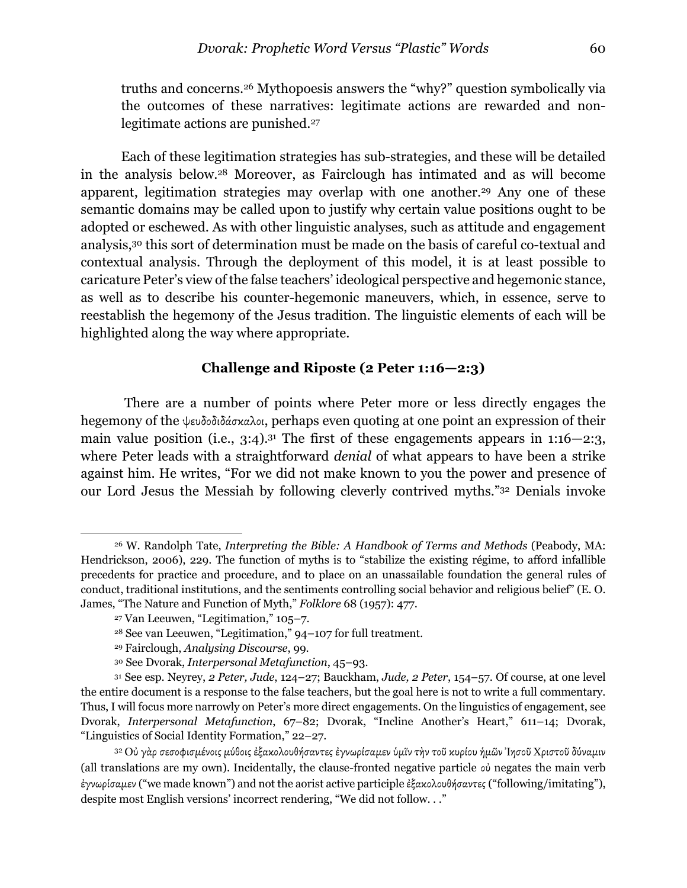truths and concerns.26 Mythopoesis answers the "why?" question symbolically via the outcomes of these narratives: legitimate actions are rewarded and nonlegitimate actions are punished.<sup>27</sup>

Each of these legitimation strategies has sub-strategies, and these will be detailed in the analysis below.28 Moreover, as Fairclough has intimated and as will become apparent, legitimation strategies may overlap with one another.29 Any one of these semantic domains may be called upon to justify why certain value positions ought to be adopted or eschewed. As with other linguistic analyses, such as attitude and engagement analysis,30 this sort of determination must be made on the basis of careful co-textual and contextual analysis. Through the deployment of this model, it is at least possible to caricature Peter's view of the false teachers' ideological perspective and hegemonic stance, as well as to describe his counter-hegemonic maneuvers, which, in essence, serve to reestablish the hegemony of the Jesus tradition. The linguistic elements of each will be highlighted along the way where appropriate.

### **Challenge and Riposte (2 Peter 1:16—2:3)**

There are a number of points where Peter more or less directly engages the hegemony of the ψευδοδιδάσκαλοι, perhaps even quoting at one point an expression of their main value position (i.e.,  $3:4$ ).<sup>31</sup> The first of these engagements appears in  $1:16-2:3$ , where Peter leads with a straightforward *denial* of what appears to have been a strike against him. He writes, "For we did not make known to you the power and presence of our Lord Jesus the Messiah by following cleverly contrived myths."32 Denials invoke

<sup>26</sup> W. Randolph Tate, *Interpreting the Bible: A Handbook of Terms and Methods* (Peabody, MA: Hendrickson, 2006), 229. The function of myths is to "stabilize the existing régime, to afford infallible precedents for practice and procedure, and to place on an unassailable foundation the general rules of conduct, traditional institutions, and the sentiments controlling social behavior and religious belief" (E. O. James, "The Nature and Function of Myth," *Folklore* 68 (1957): 477.

<sup>27</sup> Van Leeuwen, "Legitimation," 105–7.

<sup>28</sup> See van Leeuwen, "Legitimation," 94–107 for full treatment.

<sup>29</sup> Fairclough, *Analysing Discourse*, 99.

<sup>30</sup> See Dvorak, *Interpersonal Metafunction*, 45–93.

<sup>31</sup> See esp. Neyrey, *2 Peter, Jude*, 124–27; Bauckham, *Jude, 2 Peter*, 154–57. Of course, at one level the entire document is a response to the false teachers, but the goal here is not to write a full commentary. Thus, I will focus more narrowly on Peter's more direct engagements. On the linguistics of engagement, see Dvorak, *Interpersonal Metafunction*, 67–82; Dvorak, "Incline Another's Heart," 611–14; Dvorak, "Linguistics of Social Identity Formation," 22–27.

<sup>32</sup> Οὐ γὰρ σεσοφισµένοις µύθοις ἐξακολουθήσαντες ἐγνωρίσαµεν ὑµῖν τὴν τοῦ κυρίου ἡµῶν Ἰησοῦ Χριστοῦ δύναµιν (all translations are my own). Incidentally, the clause-fronted negative particle οὐ negates the main verb ἐγνωρίσαµεν ("we made known") and not the aorist active participle ἐξακολουθήσαντες ("following/imitating"), despite most English versions' incorrect rendering, "We did not follow. . ."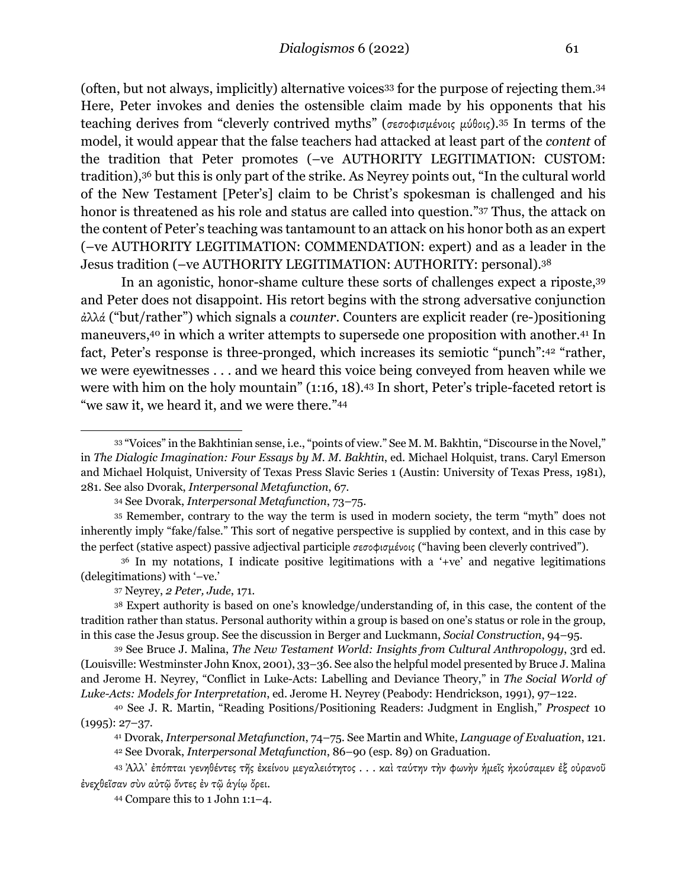(often, but not always, implicitly) alternative voices33 for the purpose of rejecting them.34 Here, Peter invokes and denies the ostensible claim made by his opponents that his teaching derives from "cleverly contrived myths" (σεσοφισµένοις µύθοις).35 In terms of the model, it would appear that the false teachers had attacked at least part of the *content* of the tradition that Peter promotes (–ve AUTHORITY LEGITIMATION: CUSTOM: tradition),36 but this is only part of the strike. As Neyrey points out, "In the cultural world of the New Testament [Peter's] claim to be Christ's spokesman is challenged and his honor is threatened as his role and status are called into question."37 Thus, the attack on the content of Peter's teaching was tantamount to an attack on his honor both as an expert (–ve AUTHORITY LEGITIMATION: COMMENDATION: expert) and as a leader in the Jesus tradition (–ve AUTHORITY LEGITIMATION: AUTHORITY: personal).38

In an agonistic, honor-shame culture these sorts of challenges expect a riposte,39 and Peter does not disappoint. His retort begins with the strong adversative conjunction ἀλλά ("but/rather") which signals a *counter*. Counters are explicit reader (re-)positioning maneuvers,40 in which a writer attempts to supersede one proposition with another.41 In fact, Peter's response is three-pronged, which increases its semiotic "punch":42 "rather, we were eyewitnesses . . . and we heard this voice being conveyed from heaven while we were with him on the holy mountain" (1:16, 18).<sup>43</sup> In short, Peter's triple-faceted retort is "we saw it, we heard it, and we were there."44

<sup>33</sup> "Voices" in the Bakhtinian sense, i.e., "points of view." See M. M. Bakhtin, "Discourse in the Novel," in *The Dialogic Imagination: Four Essays by M. M. Bakhtin*, ed. Michael Holquist, trans. Caryl Emerson and Michael Holquist, University of Texas Press Slavic Series 1 (Austin: University of Texas Press, 1981), 281. See also Dvorak, *Interpersonal Metafunction*, 67.

<sup>34</sup> See Dvorak, *Interpersonal Metafunction*, 73–75.

<sup>35</sup> Remember, contrary to the way the term is used in modern society, the term "myth" does not inherently imply "fake/false." This sort of negative perspective is supplied by context, and in this case by the perfect (stative aspect) passive adjectival participle σεσοφισµένοις ("having been cleverly contrived").

<sup>36</sup> In my notations, I indicate positive legitimations with a '+ve' and negative legitimations (delegitimations) with '–ve.'

<sup>37</sup> Neyrey, *2 Peter, Jude*, 171.

<sup>38</sup> Expert authority is based on one's knowledge/understanding of, in this case, the content of the tradition rather than status. Personal authority within a group is based on one's status or role in the group, in this case the Jesus group. See the discussion in Berger and Luckmann, *Social Construction*, 94–95.

<sup>39</sup> See Bruce J. Malina, *The New Testament World: Insights from Cultural Anthropology*, 3rd ed. (Louisville: Westminster John Knox, 2001), 33–36. See also the helpful model presented by Bruce J. Malina and Jerome H. Neyrey, "Conflict in Luke-Acts: Labelling and Deviance Theory," in *The Social World of Luke-Acts: Models for Interpretation*, ed. Jerome H. Neyrey (Peabody: Hendrickson, 1991), 97–122.

<sup>40</sup> See J. R. Martin, "Reading Positions/Positioning Readers: Judgment in English," *Prospect* 10 (1995): 27–37.

<sup>41</sup> Dvorak, *Interpersonal Metafunction*, 74–75. See Martin and White, *Language of Evaluation*, 121. <sup>42</sup> See Dvorak, *Interpersonal Metafunction*, 86–90 (esp. 89) on Graduation.

<sup>43</sup> Ἀλλ᾽ ἐπόπται γενηθέντες τῆς ἐκείνου µεγαλειότητος . . . καὶ ταύτην τὴν φωνὴν ἡµεῖς ἠκούσαµεν ἐξ οὐρανοῦ ἐνεχθεῖσαν σὺν αὐτῷ ὄντες ἐν τῷ ἁγίῳ ὄρει.

<sup>44</sup> Compare this to 1 John 1:1–4.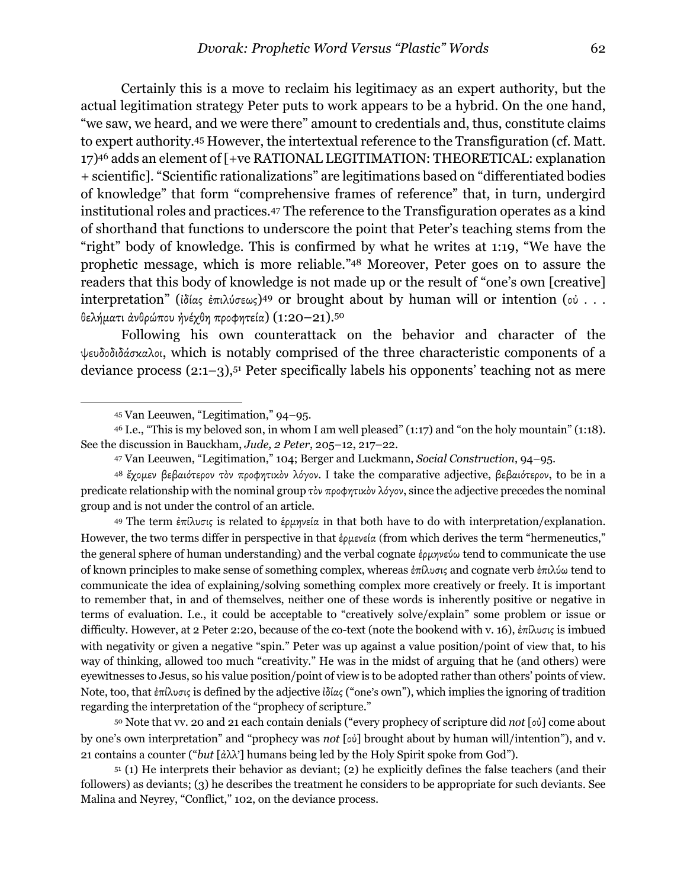Certainly this is a move to reclaim his legitimacy as an expert authority, but the actual legitimation strategy Peter puts to work appears to be a hybrid. On the one hand, "we saw, we heard, and we were there" amount to credentials and, thus, constitute claims to expert authority.45 However, the intertextual reference to the Transfiguration (cf. Matt. 17)46 adds an element of [+ve RATIONAL LEGITIMATION: THEORETICAL: explanation + scientific]. "Scientific rationalizations" are legitimations based on "differentiated bodies of knowledge" that form "comprehensive frames of reference" that, in turn, undergird institutional roles and practices.47 The reference to the Transfiguration operates as a kind of shorthand that functions to underscore the point that Peter's teaching stems from the "right" body of knowledge. This is confirmed by what he writes at 1:19, "We have the prophetic message, which is more reliable."48 Moreover, Peter goes on to assure the readers that this body of knowledge is not made up or the result of "one's own [creative] interpretation" (ἰδίας ἐπιλύσεως)49 or brought about by human will or intention (οὐ . . . θελήµατι ἀνθρώπου ἠνέχθη προφητεία) (1:20–21).50

Following his own counterattack on the behavior and character of the ψευδοδιδάσκαλοι, which is notably comprised of the three characteristic components of a deviance process (2:1–3),51 Peter specifically labels his opponents' teaching not as mere

<sup>49</sup> The term ἐπίλυσις is related to ἑρμηνεία in that both have to do with interpretation/explanation. However, the two terms differ in perspective in that *έρμενεία* (from which derives the term "hermeneutics," the general sphere of human understanding) and the verbal cognate έρμηνεύω tend to communicate the use of known principles to make sense of something complex, whereas ἐπίλυσις and cognate verb ἐπιλύω tend to communicate the idea of explaining/solving something complex more creatively or freely. It is important to remember that, in and of themselves, neither one of these words is inherently positive or negative in terms of evaluation. I.e., it could be acceptable to "creatively solve/explain" some problem or issue or difficulty. However, at 2 Peter 2:20, because of the co-text (note the bookend with v. 16), ἐπίλυσις is imbued with negativity or given a negative "spin." Peter was up against a value position/point of view that, to his way of thinking, allowed too much "creativity." He was in the midst of arguing that he (and others) were eyewitnesses to Jesus, so his value position/point of view is to be adopted rather than others' points of view. Note, too, that ἐπίλυσις is defined by the adjective ἰδίας ("one's own"), which implies the ignoring of tradition regarding the interpretation of the "prophecy of scripture."

<sup>50</sup> Note that vv. 20 and 21 each contain denials ("every prophecy of scripture did *not* [οὐ] come about by one's own interpretation" and "prophecy was *not* [οὐ] brought about by human will/intention"), and v. 21 contains a counter ("*but* [ἀλλ'] humans being led by the Holy Spirit spoke from God").

<sup>51</sup> (1) He interprets their behavior as deviant; (2) he explicitly defines the false teachers (and their followers) as deviants; (3) he describes the treatment he considers to be appropriate for such deviants. See Malina and Neyrey, "Conflict," 102, on the deviance process.

<sup>45</sup> Van Leeuwen, "Legitimation," 94–95.

<sup>46</sup> I.e., "This is my beloved son, in whom I am well pleased" (1:17) and "on the holy mountain" (1:18). See the discussion in Bauckham, *Jude, 2 Peter*, 205–12, 217–22.

<sup>47</sup> Van Leeuwen, "Legitimation," 104; Berger and Luckmann, *Social Construction*, 94–95.

<sup>48</sup> έχομεν βεβαιότερον τὸν προφητικὸν λόγον. I take the comparative adjective, βεβαιότερον, to be in a predicate relationship with the nominal group τὸν προφητικὸν λόγον, since the adjective precedes the nominal group and is not under the control of an article.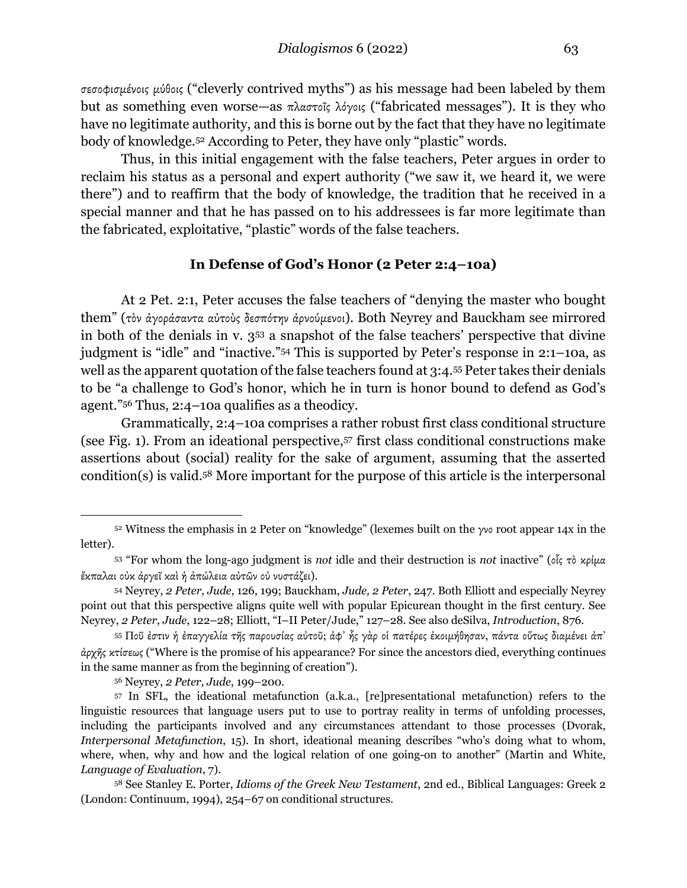σεσοφισµένοις µύθοις ("cleverly contrived myths") as his message had been labeled by them but as something even worse—as πλαστοῖς λόγοις ("fabricated messages"). It is they who have no legitimate authority, and this is borne out by the fact that they have no legitimate body of knowledge.52 According to Peter, they have only "plastic" words.

Thus, in this initial engagement with the false teachers, Peter argues in order to reclaim his status as a personal and expert authority ("we saw it, we heard it, we were there") and to reaffirm that the body of knowledge, the tradition that he received in a special manner and that he has passed on to his addressees is far more legitimate than the fabricated, exploitative, "plastic" words of the false teachers.

#### **In Defense of God's Honor (2 Peter 2:4–10a)**

At 2 Pet. 2:1, Peter accuses the false teachers of "denying the master who bought them" (τὸν ἀγοράσαντα αὐτοὺς δεσπότην ἀρνούµενοι). Both Neyrey and Bauckham see mirrored in both of the denials in v. 353 a snapshot of the false teachers' perspective that divine judgment is "idle" and "inactive."54 This is supported by Peter's response in 2:1–10a, as well as the apparent quotation of the false teachers found at 3:4.55 Peter takes their denials to be "a challenge to God's honor, which he in turn is honor bound to defend as God's agent."56 Thus, 2:4–10a qualifies as a theodicy.

Grammatically, 2:4–10a comprises a rather robust first class conditional structure (see Fig. 1). From an ideational perspective,57 first class conditional constructions make assertions about (social) reality for the sake of argument, assuming that the asserted condition(s) is valid.58 More important for the purpose of this article is the interpersonal

<sup>56</sup> Neyrey, *2 Peter, Jude*, 199–200.

<sup>52</sup> Witness the emphasis in 2 Peter on "knowledge" (lexemes built on the γνο root appear 14x in the letter).

<sup>53</sup> "For whom the long-ago judgment is *not* idle and their destruction is *not* inactive" (οἷς τὸ κρίµα ἔκπαλαι οὐκ ἀργεῖ καὶ ἡ ἀπώλεια αὐτῶν οὐ νυστάζει).

<sup>54</sup> Neyrey, *2 Peter, Jude*, 126, 199; Bauckham, *Jude, 2 Peter*, 247. Both Elliott and especially Neyrey point out that this perspective aligns quite well with popular Epicurean thought in the first century. See Neyrey, *2 Peter, Jude*, 122–28; Elliott, "I–II Peter/Jude," 127–28. See also deSilva, *Introduction*, 876.

<sup>55</sup> Ποῦ ἐστιν ἡ ἐπαγγελία τῆς παρουσίας αὐτοῦ; ἀφ᾽ ἧς γὰρ οἱ πατέρες ἐκοιµήθησαν, πάντα οὕτως διαµένει ἀπ᾽ ἀρχῆς κτίσεως ("Where is the promise of his appearance? For since the ancestors died, everything continues in the same manner as from the beginning of creation").

<sup>57</sup> In SFL, the ideational metafunction (a.k.a., [re]presentational metafunction) refers to the linguistic resources that language users put to use to portray reality in terms of unfolding processes, including the participants involved and any circumstances attendant to those processes (Dvorak, *Interpersonal Metafunction*, 15). In short, ideational meaning describes "who's doing what to whom, where, when, why and how and the logical relation of one going-on to another" (Martin and White, *Language of Evaluation*, 7).

<sup>58</sup> See Stanley E. Porter, *Idioms of the Greek New Testament*, 2nd ed., Biblical Languages: Greek 2 (London: Continuum, 1994), 254–67 on conditional structures.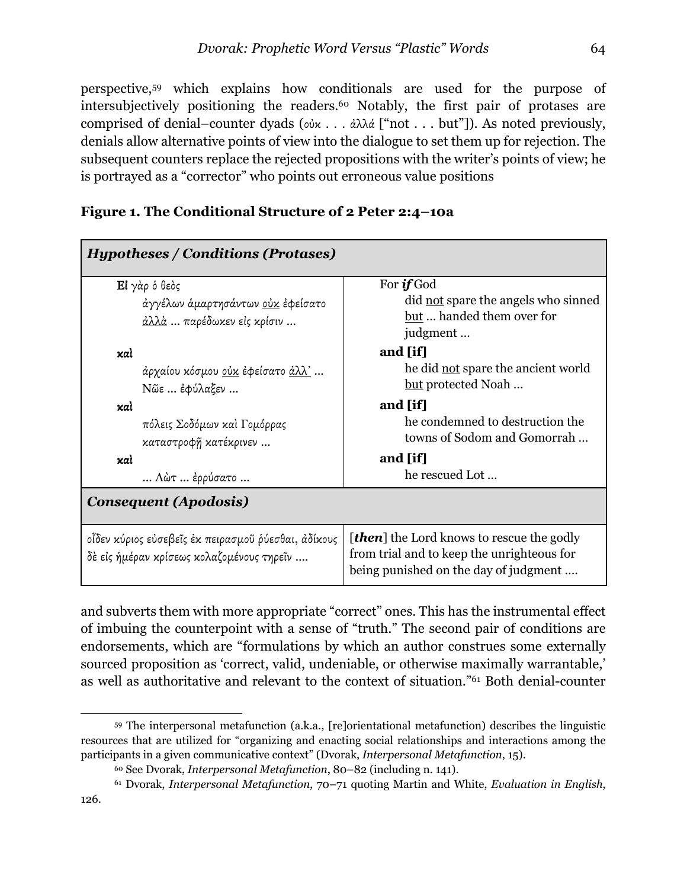perspective,59 which explains how conditionals are used for the purpose of intersubjectively positioning the readers.60 Notably, the first pair of protases are comprised of denial–counter dyads (οὐκ . . . ἀλλά ["not . . . but"]). As noted previously, denials allow alternative points of view into the dialogue to set them up for rejection. The subsequent counters replace the rejected propositions with the writer's points of view; he is portrayed as a "corrector" who points out erroneous value positions

| <b>Hypotheses / Conditions (Protases)</b>                                                        |                                                                                                                                         |  |  |  |
|--------------------------------------------------------------------------------------------------|-----------------------------------------------------------------------------------------------------------------------------------------|--|--|--|
| Εί γάρ ό θεός                                                                                    | For <b>if</b> God                                                                                                                       |  |  |  |
| άγγέλων ἁμαρτησάντων <u>οὐκ</u> ἐφείσατο                                                         | did not spare the angels who sinned                                                                                                     |  |  |  |
| <u>άλλά</u> παρέδωκεν είς κρίσιν                                                                 | but  handed them over for                                                                                                               |  |  |  |
|                                                                                                  | judgment                                                                                                                                |  |  |  |
| xal                                                                                              | and [if]                                                                                                                                |  |  |  |
| άρχαίου κόσμου <u>οὐκ</u> ἐφείσατο <u>ἀλλ'</u>                                                   | he did not spare the ancient world                                                                                                      |  |  |  |
| Νῶε  έφύλαξεν                                                                                    | but protected Noah                                                                                                                      |  |  |  |
| xal                                                                                              | and [if]                                                                                                                                |  |  |  |
| πόλεις Σοδόμων καὶ Γομόρρας                                                                      | he condemned to destruction the                                                                                                         |  |  |  |
| καταστροφῆ κατέκρινεν                                                                            | towns of Sodom and Gomorrah                                                                                                             |  |  |  |
| xαì                                                                                              | and [if]                                                                                                                                |  |  |  |
| $\ldots$ Λώτ $\ldots$ έρρύσατο $\ldots$                                                          | he rescued Lot                                                                                                                          |  |  |  |
| <b>Consequent (Apodosis)</b>                                                                     |                                                                                                                                         |  |  |  |
| οἶδεν κύριος εὐσεβεῖς ἐκ πειρασμοῦ ῥύεσθαι, ἀδίκους<br>δὲ εἰς ἡμέραν κρίσεως κολαζομένους τηρεῖν | <b>[then]</b> the Lord knows to rescue the godly<br>from trial and to keep the unrighteous for<br>being punished on the day of judgment |  |  |  |

|  | Figure 1. The Conditional Structure of 2 Peter 2:4-10a |  |  |
|--|--------------------------------------------------------|--|--|
|  |                                                        |  |  |

and subverts them with more appropriate "correct" ones. This has the instrumental effect of imbuing the counterpoint with a sense of "truth." The second pair of conditions are endorsements, which are "formulations by which an author construes some externally sourced proposition as 'correct, valid, undeniable, or otherwise maximally warrantable,' as well as authoritative and relevant to the context of situation."61 Both denial-counter

<sup>59</sup> The interpersonal metafunction (a.k.a., [re]orientational metafunction) describes the linguistic resources that are utilized for "organizing and enacting social relationships and interactions among the participants in a given communicative context" (Dvorak, *Interpersonal Metafunction*, 15).

<sup>60</sup> See Dvorak, *Interpersonal Metafunction*, 80–82 (including n. 141).

<sup>61</sup> Dvorak, *Interpersonal Metafunction*, 70–71 quoting Martin and White, *Evaluation in English*, 126.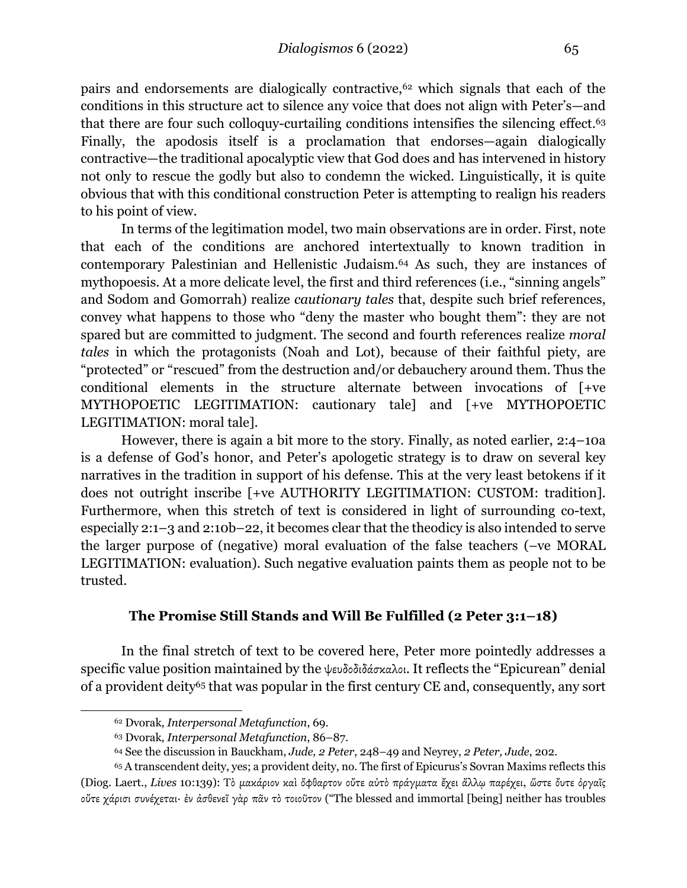pairs and endorsements are dialogically contractive,62 which signals that each of the conditions in this structure act to silence any voice that does not align with Peter's—and that there are four such colloquy-curtailing conditions intensifies the silencing effect.63 Finally, the apodosis itself is a proclamation that endorses—again dialogically contractive—the traditional apocalyptic view that God does and has intervened in history not only to rescue the godly but also to condemn the wicked. Linguistically, it is quite obvious that with this conditional construction Peter is attempting to realign his readers to his point of view.

In terms of the legitimation model, two main observations are in order. First, note that each of the conditions are anchored intertextually to known tradition in contemporary Palestinian and Hellenistic Judaism.64 As such, they are instances of mythopoesis. At a more delicate level, the first and third references (i.e., "sinning angels" and Sodom and Gomorrah) realize *cautionary tales* that, despite such brief references, convey what happens to those who "deny the master who bought them": they are not spared but are committed to judgment. The second and fourth references realize *moral tales* in which the protagonists (Noah and Lot), because of their faithful piety, are "protected" or "rescued" from the destruction and/or debauchery around them. Thus the conditional elements in the structure alternate between invocations of [+ve MYTHOPOETIC LEGITIMATION: cautionary tale] and [+ve MYTHOPOETIC LEGITIMATION: moral tale].

However, there is again a bit more to the story. Finally, as noted earlier, 2:4–10a is a defense of God's honor, and Peter's apologetic strategy is to draw on several key narratives in the tradition in support of his defense. This at the very least betokens if it does not outright inscribe [+ve AUTHORITY LEGITIMATION: CUSTOM: tradition]. Furthermore, when this stretch of text is considered in light of surrounding co-text, especially 2:1–3 and 2:10b–22, it becomes clear that the theodicy is also intended to serve the larger purpose of (negative) moral evaluation of the false teachers (–ve MORAL LEGITIMATION: evaluation). Such negative evaluation paints them as people not to be trusted.

# **The Promise Still Stands and Will Be Fulfilled (2 Peter 3:1–18)**

In the final stretch of text to be covered here, Peter more pointedly addresses a specific value position maintained by the ψευδοδιδάσκαλοι. It reflects the "Epicurean" denial of a provident deity<sup>65</sup> that was popular in the first century CE and, consequently, any sort

<sup>62</sup> Dvorak, *Interpersonal Metafunction*, 69.

<sup>63</sup> Dvorak, *Interpersonal Metafunction*, 86–87.

<sup>64</sup> See the discussion in Bauckham, *Jude, 2 Peter*, 248–49 and Neyrey, *2 Peter, Jude*, 202.

<sup>65</sup> A transcendent deity, yes; a provident deity, no. The first of Epicurus's Sovran Maxims reflects this (Diog. Laert., *Lives* 10:139): Τὸ µακάριον καὶ ὄφθαρτον οὔτε αὐτὸ πράγµατα ἔχει ἄλλῳ παρέχει, ὥστε ὄυτε ὀργαῖς οὔτε χάρισι συνέχεται· ἐν ἀσθενεῖ γὰρ πᾶν τὸ τοιοῦτον ("The blessed and immortal [being] neither has troubles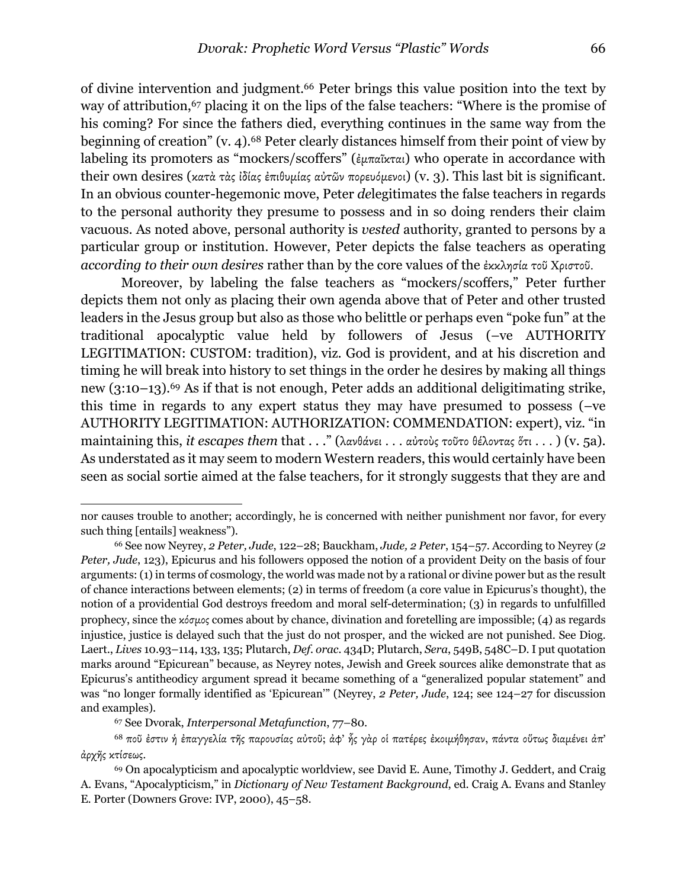of divine intervention and judgment.66 Peter brings this value position into the text by way of attribution,<sup>67</sup> placing it on the lips of the false teachers: "Where is the promise of his coming? For since the fathers died, everything continues in the same way from the beginning of creation" (v. 4).68 Peter clearly distances himself from their point of view by labeling its promoters as "mockers/scoffers" (ἐµπαῖκται) who operate in accordance with their own desires (κατὰ τὰς ἰδίας ἐπιθυµίας αὐτῶν πορευόµενοι) (v. 3). This last bit is significant. In an obvious counter-hegemonic move, Peter *de*legitimates the false teachers in regards to the personal authority they presume to possess and in so doing renders their claim vacuous. As noted above, personal authority is *vested* authority, granted to persons by a particular group or institution. However, Peter depicts the false teachers as operating *according to their own desires* rather than by the core values of the ἐκκλησία τοῦ Χριστοῦ.

Moreover, by labeling the false teachers as "mockers/scoffers," Peter further depicts them not only as placing their own agenda above that of Peter and other trusted leaders in the Jesus group but also as those who belittle or perhaps even "poke fun" at the traditional apocalyptic value held by followers of Jesus (–ve AUTHORITY LEGITIMATION: CUSTOM: tradition), viz. God is provident, and at his discretion and timing he will break into history to set things in the order he desires by making all things new (3:10–13).69 As if that is not enough, Peter adds an additional deligitimating strike, this time in regards to any expert status they may have presumed to possess (–ve AUTHORITY LEGITIMATION: AUTHORIZATION: COMMENDATION: expert), viz. "in maintaining this, *it escapes them* that . . ." (λανθάνει . . . αὐτοὺς τοῦτο θέλοντας ὅτι . . . ) (v. 5a). As understated as it may seem to modern Western readers, this would certainly have been seen as social sortie aimed at the false teachers, for it strongly suggests that they are and

nor causes trouble to another; accordingly, he is concerned with neither punishment nor favor, for every such thing [entails] weakness").

<sup>66</sup> See now Neyrey, *2 Peter, Jude*, 122–28; Bauckham, *Jude, 2 Peter*, 154–57. According to Neyrey (*2 Peter, Jude*, 123), Epicurus and his followers opposed the notion of a provident Deity on the basis of four arguments: (1) in terms of cosmology, the world was made not by a rational or divine power but as the result of chance interactions between elements; (2) in terms of freedom (a core value in Epicurus's thought), the notion of a providential God destroys freedom and moral self-determination; (3) in regards to unfulfilled prophecy, since the κόσµος comes about by chance, divination and foretelling are impossible; (4) as regards injustice, justice is delayed such that the just do not prosper, and the wicked are not punished. See Diog. Laert., *Lives* 10.93–114, 133, 135; Plutarch, *Def. orac.* 434D; Plutarch, *Sera*, 549B, 548C–D. I put quotation marks around "Epicurean" because, as Neyrey notes, Jewish and Greek sources alike demonstrate that as Epicurus's antitheodicy argument spread it became something of a "generalized popular statement" and was "no longer formally identified as 'Epicurean'" (Neyrey, *2 Peter, Jude*, 124; see 124–27 for discussion and examples).

<sup>67</sup> See Dvorak, *Interpersonal Metafunction*, 77–80.

<sup>68</sup> ποῦ ἐστιν ἡ ἐπαγγελία τῆς παρουσίας αὐτοῦ; ἀφ' ἧς γὰρ οἱ πατέρες ἐκοιµήθησαν, πάντα οὕτως διαµένει ἀπ' ἀρχῆς κτίσεως.

<sup>69</sup> On apocalypticism and apocalyptic worldview, see David E. Aune, Timothy J. Geddert, and Craig A. Evans, "Apocalypticism," in *Dictionary of New Testament Background*, ed. Craig A. Evans and Stanley E. Porter (Downers Grove: IVP, 2000), 45–58.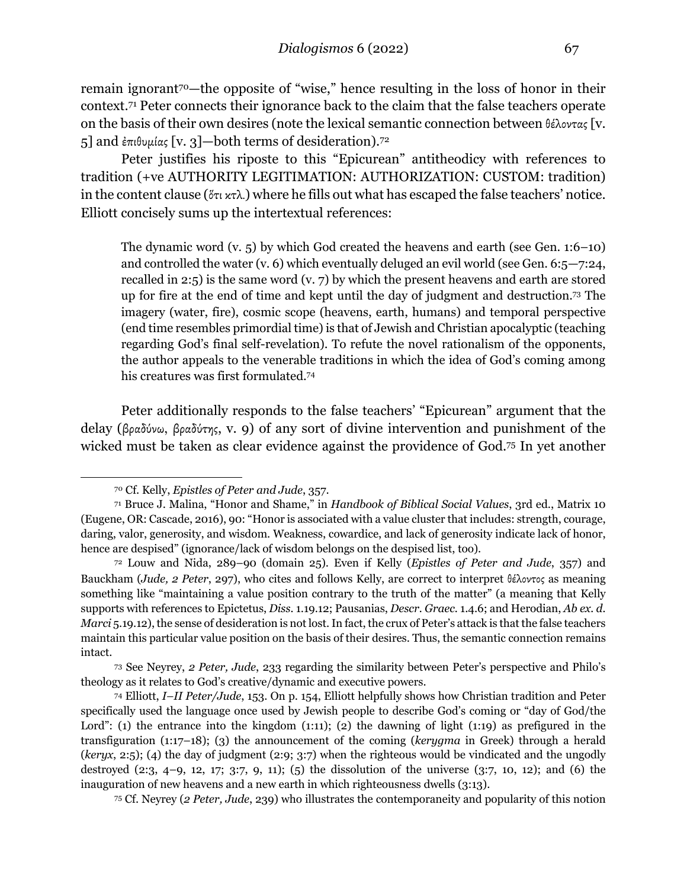remain ignorant<sup>70</sup>—the opposite of "wise," hence resulting in the loss of honor in their context.71 Peter connects their ignorance back to the claim that the false teachers operate on the basis of their own desires (note the lexical semantic connection between θέλοντας [v. 5] and έπιθυμίας [v. 3]—both terms of desideration).<sup>72</sup>

Peter justifies his riposte to this "Epicurean" antitheodicy with references to tradition (+ve AUTHORITY LEGITIMATION: AUTHORIZATION: CUSTOM: tradition) in the content clause (ὅτι κτλ.) where he fills out what has escaped the false teachers' notice. Elliott concisely sums up the intertextual references:

The dynamic word (v. 5) by which God created the heavens and earth (see Gen. 1:6–10) and controlled the water (v. 6) which eventually deluged an evil world (see Gen. 6:5—7:24, recalled in 2:5) is the same word (v. 7) by which the present heavens and earth are stored up for fire at the end of time and kept until the day of judgment and destruction.73 The imagery (water, fire), cosmic scope (heavens, earth, humans) and temporal perspective (end time resembles primordial time) is that of Jewish and Christian apocalyptic (teaching regarding God's final self-revelation). To refute the novel rationalism of the opponents, the author appeals to the venerable traditions in which the idea of God's coming among his creatures was first formulated.74

Peter additionally responds to the false teachers' "Epicurean" argument that the delay (βραδύνω, βραδύτης, v. 9) of any sort of divine intervention and punishment of the wicked must be taken as clear evidence against the providence of God.75 In yet another

<sup>70</sup> Cf. Kelly, *Epistles of Peter and Jude*, 357.

<sup>71</sup> Bruce J. Malina, "Honor and Shame," in *Handbook of Biblical Social Values*, 3rd ed., Matrix 10 (Eugene, OR: Cascade, 2016), 90: "Honor is associated with a value cluster that includes: strength, courage, daring, valor, generosity, and wisdom. Weakness, cowardice, and lack of generosity indicate lack of honor, hence are despised" (ignorance/lack of wisdom belongs on the despised list, too).

<sup>72</sup> Louw and Nida, 289–90 (domain 25). Even if Kelly (*Epistles of Peter and Jude*, 357) and Bauckham (*Jude, 2 Peter*, 297), who cites and follows Kelly, are correct to interpret θέλοντος as meaning something like "maintaining a value position contrary to the truth of the matter" (a meaning that Kelly supports with references to Epictetus, *Diss.* 1.19.12; Pausanias, *Descr. Graec.* 1.4.6; and Herodian, *Ab ex. d. Marci* 5.19.12), the sense of desideration is not lost. In fact, the crux of Peter's attack is that the false teachers maintain this particular value position on the basis of their desires. Thus, the semantic connection remains intact.

<sup>73</sup> See Neyrey, *2 Peter, Jude*, 233 regarding the similarity between Peter's perspective and Philo's theology as it relates to God's creative/dynamic and executive powers.

<sup>74</sup> Elliott, *I–II Peter/Jude*, 153. On p. 154, Elliott helpfully shows how Christian tradition and Peter specifically used the language once used by Jewish people to describe God's coming or "day of God/the Lord": (1) the entrance into the kingdom (1:11); (2) the dawning of light (1:19) as prefigured in the transfiguration (1:17–18); (3) the announcement of the coming (*kerygma* in Greek) through a herald (*keryx*, 2:5); (4) the day of judgment (2:9; 3:7) when the righteous would be vindicated and the ungodly destroyed (2:3, 4–9, 12, 17; 3:7, 9, 11); (5) the dissolution of the universe (3:7, 10, 12); and (6) the inauguration of new heavens and a new earth in which righteousness dwells (3:13).

<sup>75</sup> Cf. Neyrey (*2 Peter, Jude*, 239) who illustrates the contemporaneity and popularity of this notion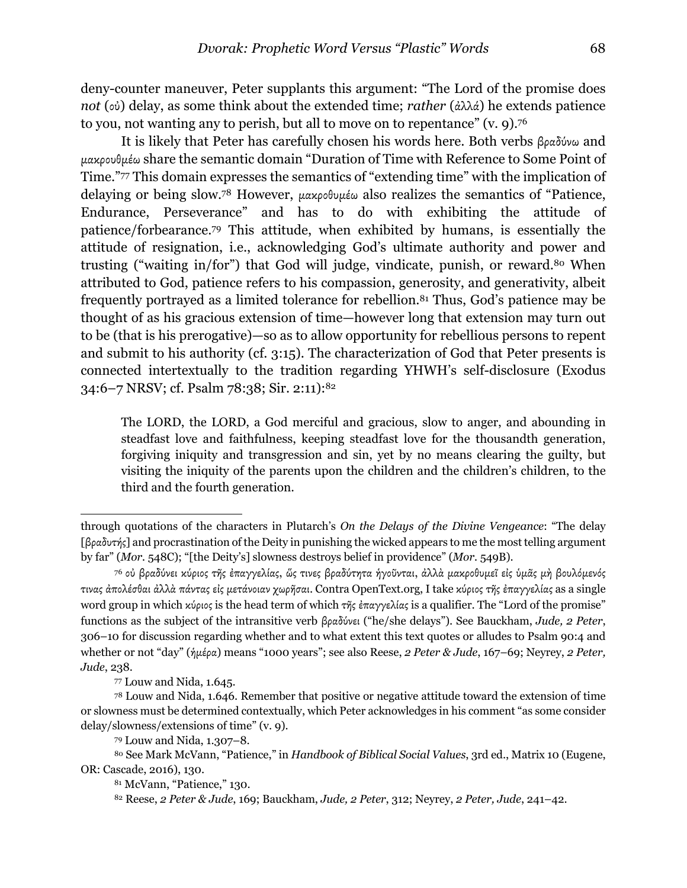deny-counter maneuver, Peter supplants this argument: "The Lord of the promise does *not* (οὐ) delay, as some think about the extended time; *rather* (ἀλλά) he extends patience to you, not wanting any to perish, but all to move on to repentance" (v. 9).76

It is likely that Peter has carefully chosen his words here. Both verbs βραδύνω and µακρουθµέω share the semantic domain "Duration of Time with Reference to Some Point of Time."77 This domain expresses the semantics of "extending time" with the implication of delaying or being slow.78 However, µακροθυµέω also realizes the semantics of "Patience, Endurance, Perseverance" and has to do with exhibiting the attitude of patience/forbearance.79 This attitude, when exhibited by humans, is essentially the attitude of resignation, i.e., acknowledging God's ultimate authority and power and trusting ("waiting in/for") that God will judge, vindicate, punish, or reward.80 When attributed to God, patience refers to his compassion, generosity, and generativity, albeit frequently portrayed as a limited tolerance for rebellion.81 Thus, God's patience may be thought of as his gracious extension of time—however long that extension may turn out to be (that is his prerogative)—so as to allow opportunity for rebellious persons to repent and submit to his authority (cf. 3:15). The characterization of God that Peter presents is connected intertextually to the tradition regarding YHWH's self-disclosure (Exodus 34:6–7 NRSV; cf. Psalm 78:38; Sir. 2:11):82

The LORD, the LORD, a God merciful and gracious, slow to anger, and abounding in steadfast love and faithfulness, keeping steadfast love for the thousandth generation, forgiving iniquity and transgression and sin, yet by no means clearing the guilty, but visiting the iniquity of the parents upon the children and the children's children, to the third and the fourth generation.

through quotations of the characters in Plutarch's *On the Delays of the Divine Vengeance*: "The delay [βραδυτής] and procrastination of the Deity in punishing the wicked appears to me the most telling argument by far" (*Mor.* 548C); "[the Deity's] slowness destroys belief in providence" (*Mor.* 549B).

<sup>76</sup> οὐ βραδύνει κύριος τῆς ἐπαγγελίας, ὥς τινες βραδύτητα ἡγοῦνται, ἀλλὰ µακροθυµεῖ εἰς ὑµᾶς µὴ βουλόµενός τινας ἀπολέσθαι ἀλλὰ πάντας εἰς µετάνοιαν χωρῆσαι. Contra OpenText.org, I take κύριος τῆς ἐπαγγελίας as a single word group in which κύριος is the head term of which τῆς ἐπαγγελίας is a qualifier. The "Lord of the promise" functions as the subject of the intransitive verb βραδύνει ("he/she delays"). See Bauckham, *Jude, 2 Peter*, 306–10 for discussion regarding whether and to what extent this text quotes or alludes to Psalm 90:4 and whether or not "day" (ἡµέρα) means "1000 years"; see also Reese, *2 Peter & Jude*, 167–69; Neyrey, *2 Peter, Jude*, 238.

<sup>77</sup> Louw and Nida, 1.645.

<sup>78</sup> Louw and Nida, 1.646. Remember that positive or negative attitude toward the extension of time or slowness must be determined contextually, which Peter acknowledges in his comment "as some consider delay/slowness/extensions of time" (v. 9).

<sup>79</sup> Louw and Nida, 1.307–8.

<sup>80</sup> See Mark McVann, "Patience," in *Handbook of Biblical Social Values*, 3rd ed., Matrix 10 (Eugene, OR: Cascade, 2016), 130.

<sup>81</sup> McVann, "Patience," 130.

<sup>82</sup> Reese, *2 Peter & Jude*, 169; Bauckham, *Jude, 2 Peter*, 312; Neyrey, *2 Peter, Jude*, 241–42.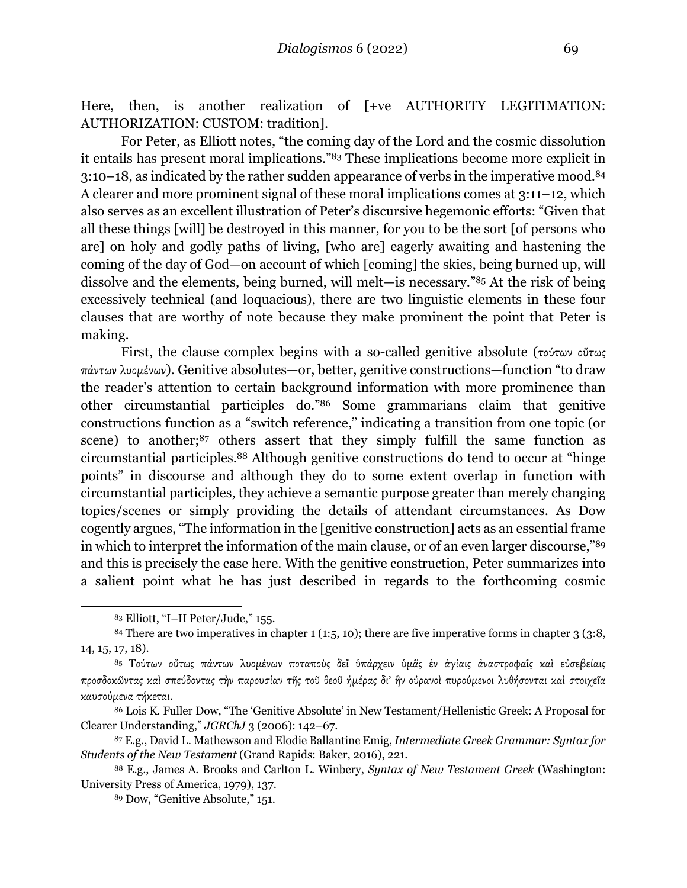Here, then, is another realization of  $\lceil +ve \rceil$  AUTHORITY LEGITIMATION: AUTHORIZATION: CUSTOM: tradition].

For Peter, as Elliott notes, "the coming day of the Lord and the cosmic dissolution it entails has present moral implications."83 These implications become more explicit in 3:10–18, as indicated by the rather sudden appearance of verbs in the imperative mood.84 A clearer and more prominent signal of these moral implications comes at 3:11–12, which also serves as an excellent illustration of Peter's discursive hegemonic efforts: "Given that all these things [will] be destroyed in this manner, for you to be the sort [of persons who are] on holy and godly paths of living, [who are] eagerly awaiting and hastening the coming of the day of God—on account of which [coming] the skies, being burned up, will dissolve and the elements, being burned, will melt—is necessary."85 At the risk of being excessively technical (and loquacious), there are two linguistic elements in these four clauses that are worthy of note because they make prominent the point that Peter is making.

First, the clause complex begins with a so-called genitive absolute (τούτων οὕτως πάντων λυοµένων). Genitive absolutes—or, better, genitive constructions—function "to draw the reader's attention to certain background information with more prominence than other circumstantial participles do."86 Some grammarians claim that genitive constructions function as a "switch reference," indicating a transition from one topic (or scene) to another;<sup>87</sup> others assert that they simply fulfill the same function as circumstantial participles.88 Although genitive constructions do tend to occur at "hinge points" in discourse and although they do to some extent overlap in function with circumstantial participles, they achieve a semantic purpose greater than merely changing topics/scenes or simply providing the details of attendant circumstances. As Dow cogently argues, "The information in the [genitive construction] acts as an essential frame in which to interpret the information of the main clause, or of an even larger discourse,"89 and this is precisely the case here. With the genitive construction, Peter summarizes into a salient point what he has just described in regards to the forthcoming cosmic

<sup>83</sup> Elliott, "I–II Peter/Jude," 155.

<sup>84</sup> There are two imperatives in chapter 1 (1:5, 10); there are five imperative forms in chapter 3 (3:8, 14, 15, 17, 18).

<sup>85</sup> Τούτων οὕτως πάντων λυομένων ποταποὺς δεϊ υπάρχειν υμᾶς ἐν ἀγίαις ἀναστροφαῖς καὶ εὐσεβείαις προσδοκῶντας καὶ σπεύδοντας τὴν παρουσίαν τῆς τοῦ θεοῦ ἡµέρας δι' ἣν οὐρανοὶ πυρούµενοι λυθήσονται καὶ στοιχεῖα καυσούµενα τήκεται.

<sup>86</sup> Lois K. Fuller Dow, "The 'Genitive Absolute' in New Testament/Hellenistic Greek: A Proposal for Clearer Understanding," *JGRChJ* 3 (2006): 142–67.

<sup>87</sup> E.g., David L. Mathewson and Elodie Ballantine Emig, *Intermediate Greek Grammar: Syntax for Students of the New Testament* (Grand Rapids: Baker, 2016), 221.

<sup>88</sup> E.g., James A. Brooks and Carlton L. Winbery, *Syntax of New Testament Greek* (Washington: University Press of America, 1979), 137.

<sup>89</sup> Dow, "Genitive Absolute," 151.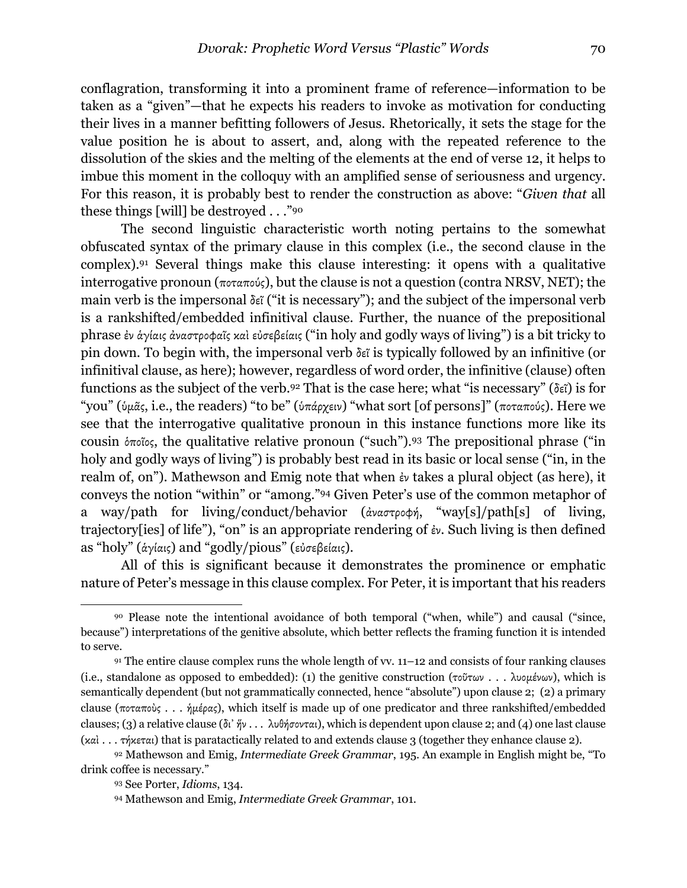conflagration, transforming it into a prominent frame of reference—information to be taken as a "given"—that he expects his readers to invoke as motivation for conducting their lives in a manner befitting followers of Jesus. Rhetorically, it sets the stage for the value position he is about to assert, and, along with the repeated reference to the dissolution of the skies and the melting of the elements at the end of verse 12, it helps to imbue this moment in the colloquy with an amplified sense of seriousness and urgency. For this reason, it is probably best to render the construction as above: "*Given that* all these things [will] be destroyed . . ."90

The second linguistic characteristic worth noting pertains to the somewhat obfuscated syntax of the primary clause in this complex (i.e., the second clause in the complex).91 Several things make this clause interesting: it opens with a qualitative interrogative pronoun (ποταπούς), but the clause is not a question (contra NRSV, NET); the main verb is the impersonal δεῖ ("it is necessary"); and the subject of the impersonal verb is a rankshifted/embedded infinitival clause. Further, the nuance of the prepositional phrase ἐν ἁγίαις ἀναστροφαῖς καὶ εὐσεβείαις ("in holy and godly ways of living") is a bit tricky to pin down. To begin with, the impersonal verb δεῖ is typically followed by an infinitive (or infinitival clause, as here); however, regardless of word order, the infinitive (clause) often functions as the subject of the verb.92 That is the case here; what "is necessary" (δεῖ) is for "you" (ὑµᾶς, i.e., the readers) "to be" (ὑπάρχειν) "what sort [of persons]" (ποταπούς). Here we see that the interrogative qualitative pronoun in this instance functions more like its cousin ὁποῖος, the qualitative relative pronoun ("such").93 The prepositional phrase ("in holy and godly ways of living") is probably best read in its basic or local sense ("in, in the realm of, on"). Mathewson and Emig note that when ἐν takes a plural object (as here), it conveys the notion "within" or "among."94 Given Peter's use of the common metaphor of a way/path for living/conduct/behavior (ἀναστροφή, "way[s]/path[s] of living, trajectory[ies] of life"), "on" is an appropriate rendering of ἐν. Such living is then defined as "holy" (ἁγίαις) and "godly/pious" (εὐσεβείαις).

All of this is significant because it demonstrates the prominence or emphatic nature of Peter's message in this clause complex. For Peter, it is important that his readers

<sup>90</sup> Please note the intentional avoidance of both temporal ("when, while") and causal ("since, because") interpretations of the genitive absolute, which better reflects the framing function it is intended to serve.

<sup>91</sup> The entire clause complex runs the whole length of vv. 11–12 and consists of four ranking clauses (i.e., standalone as opposed to embedded): (1) the genitive construction (τοῦτων . . . λυομένων), which is semantically dependent (but not grammatically connected, hence "absolute") upon clause 2; (2) a primary clause (ποταποὺς . . . ἡµέρας), which itself is made up of one predicator and three rankshifted/embedded clauses; (3) a relative clause (δι᾽ ἥν . . . λυθήσονται), which is dependent upon clause 2; and (4) one last clause (καὶ . . . τήκεται) that is paratactically related to and extends clause 3 (together they enhance clause 2).

<sup>92</sup> Mathewson and Emig, *Intermediate Greek Grammar*, 195. An example in English might be, "To drink coffee is necessary."

<sup>93</sup> See Porter, *Idioms*, 134.

<sup>94</sup> Mathewson and Emig, *Intermediate Greek Grammar*, 101.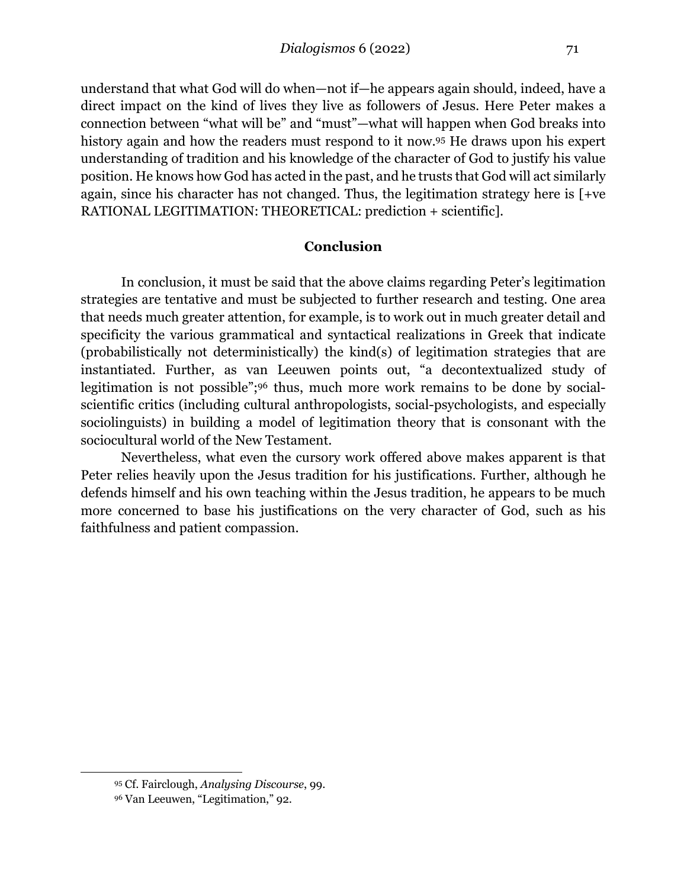understand that what God will do when—not if—he appears again should, indeed, have a direct impact on the kind of lives they live as followers of Jesus. Here Peter makes a connection between "what will be" and "must"—what will happen when God breaks into history again and how the readers must respond to it now.95 He draws upon his expert understanding of tradition and his knowledge of the character of God to justify his value position. He knows how God has acted in the past, and he trusts that God will act similarly again, since his character has not changed. Thus, the legitimation strategy here is [+ve RATIONAL LEGITIMATION: THEORETICAL: prediction + scientific].

#### **Conclusion**

In conclusion, it must be said that the above claims regarding Peter's legitimation strategies are tentative and must be subjected to further research and testing. One area that needs much greater attention, for example, is to work out in much greater detail and specificity the various grammatical and syntactical realizations in Greek that indicate (probabilistically not deterministically) the kind(s) of legitimation strategies that are instantiated. Further, as van Leeuwen points out, "a decontextualized study of legitimation is not possible";96 thus, much more work remains to be done by socialscientific critics (including cultural anthropologists, social-psychologists, and especially sociolinguists) in building a model of legitimation theory that is consonant with the sociocultural world of the New Testament.

Nevertheless, what even the cursory work offered above makes apparent is that Peter relies heavily upon the Jesus tradition for his justifications. Further, although he defends himself and his own teaching within the Jesus tradition, he appears to be much more concerned to base his justifications on the very character of God, such as his faithfulness and patient compassion.

<sup>95</sup> Cf. Fairclough, *Analysing Discourse*, 99.

<sup>96</sup> Van Leeuwen, "Legitimation," 92.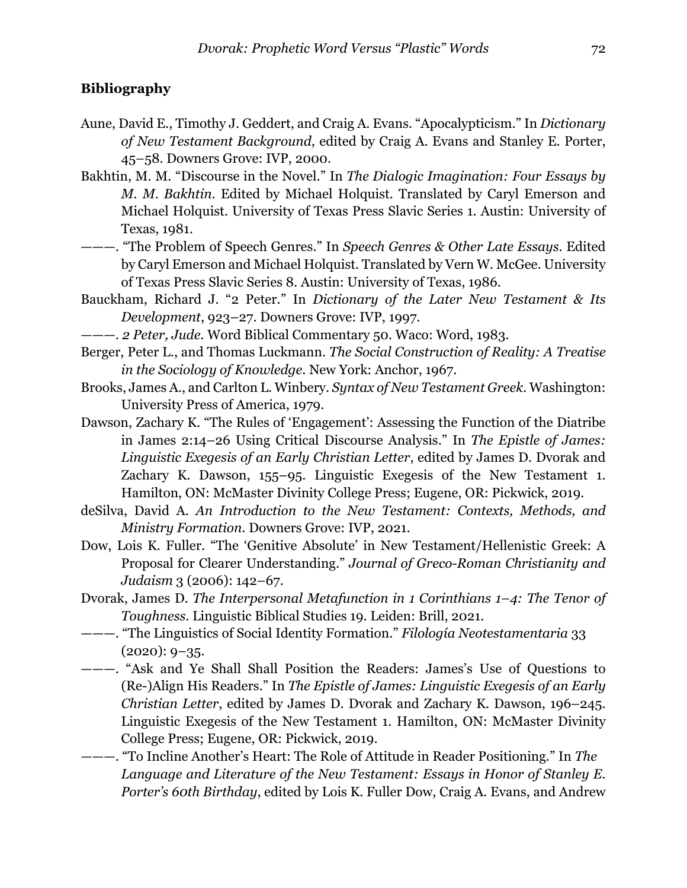### **Bibliography**

- Aune, David E., Timothy J. Geddert, and Craig A. Evans. "Apocalypticism." In *Dictionary of New Testament Background*, edited by Craig A. Evans and Stanley E. Porter, 45–58. Downers Grove: IVP, 2000.
- Bakhtin, M. M. "Discourse in the Novel." In *The Dialogic Imagination: Four Essays by M. M. Bakhtin*. Edited by Michael Holquist. Translated by Caryl Emerson and Michael Holquist. University of Texas Press Slavic Series 1. Austin: University of Texas, 1981.
- ———. "The Problem of Speech Genres." In *Speech Genres & Other Late Essays*. Edited by Caryl Emerson and Michael Holquist. Translated by Vern W. McGee. University of Texas Press Slavic Series 8. Austin: University of Texas, 1986.
- Bauckham, Richard J. "2 Peter." In *Dictionary of the Later New Testament & Its Development*, 923–27. Downers Grove: IVP, 1997.
- ———. *2 Peter, Jude*. Word Biblical Commentary 50. Waco: Word, 1983.
- Berger, Peter L., and Thomas Luckmann. *The Social Construction of Reality: A Treatise in the Sociology of Knowledge*. New York: Anchor, 1967.
- Brooks, James A., and Carlton L. Winbery. *Syntax of New Testament Greek*. Washington: University Press of America, 1979.
- Dawson, Zachary K. "The Rules of 'Engagement': Assessing the Function of the Diatribe in James 2:14–26 Using Critical Discourse Analysis." In *The Epistle of James: Linguistic Exegesis of an Early Christian Letter*, edited by James D. Dvorak and Zachary K. Dawson, 155–95. Linguistic Exegesis of the New Testament 1. Hamilton, ON: McMaster Divinity College Press; Eugene, OR: Pickwick, 2019.
- deSilva, David A. *An Introduction to the New Testament: Contexts, Methods, and Ministry Formation*. Downers Grove: IVP, 2021.
- Dow, Lois K. Fuller. "The 'Genitive Absolute' in New Testament/Hellenistic Greek: A Proposal for Clearer Understanding." *Journal of Greco-Roman Christianity and Judaism* 3 (2006): 142–67.
- Dvorak, James D. *The Interpersonal Metafunction in 1 Corinthians 1–4: The Tenor of Toughness*. Linguistic Biblical Studies 19. Leiden: Brill, 2021.
- ———. "The Linguistics of Social Identity Formation." *Filología Neotestamentaria* 33  $(2020): 9-35.$
- ———. "Ask and Ye Shall Shall Position the Readers: James's Use of Questions to (Re-)Align His Readers." In *The Epistle of James: Linguistic Exegesis of an Early Christian Letter*, edited by James D. Dvorak and Zachary K. Dawson, 196–245. Linguistic Exegesis of the New Testament 1. Hamilton, ON: McMaster Divinity College Press; Eugene, OR: Pickwick, 2019.
- ———. "To Incline Another's Heart: The Role of Attitude in Reader Positioning." In *The Language and Literature of the New Testament: Essays in Honor of Stanley E. Porter's 60th Birthday*, edited by Lois K. Fuller Dow, Craig A. Evans, and Andrew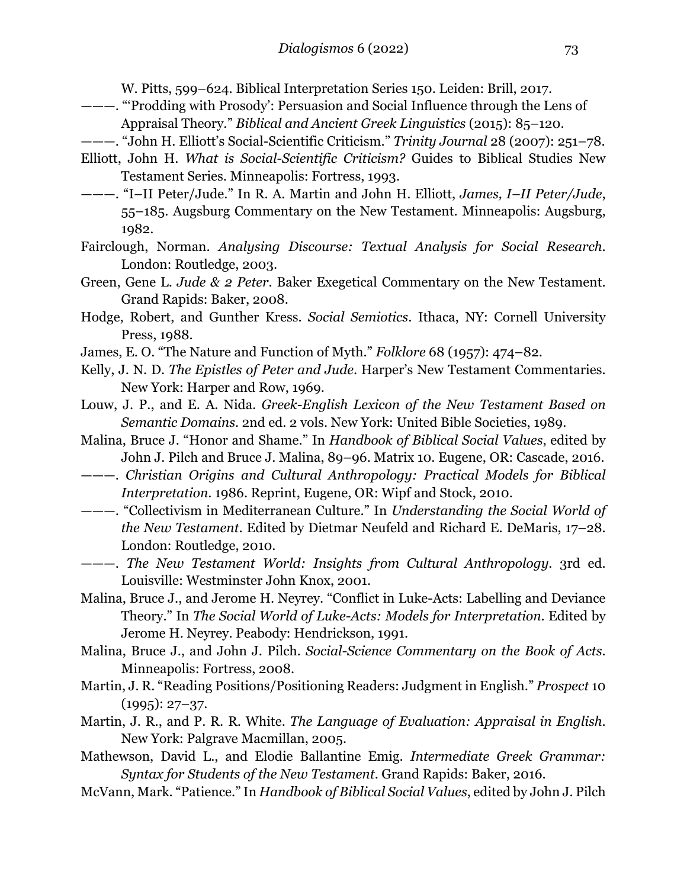W. Pitts, 599–624. Biblical Interpretation Series 150. Leiden: Brill, 2017.

- ———. "'Prodding with Prosody': Persuasion and Social Influence through the Lens of Appraisal Theory." *Biblical and Ancient Greek Linguistics* (2015): 85–120.
- ———. "John H. Elliott's Social-Scientific Criticism." *Trinity Journal* 28 (2007): 251–78.
- Elliott, John H. *What is Social-Scientific Criticism?* Guides to Biblical Studies New Testament Series. Minneapolis: Fortress, 1993.
- ———. "I–II Peter/Jude." In R. A. Martin and John H. Elliott, *James, I–II Peter/Jude*, 55–185. Augsburg Commentary on the New Testament. Minneapolis: Augsburg, 1982.
- Fairclough, Norman. *Analysing Discourse: Textual Analysis for Social Research*. London: Routledge, 2003.
- Green, Gene L. *Jude & 2 Peter*. Baker Exegetical Commentary on the New Testament. Grand Rapids: Baker, 2008.
- Hodge, Robert, and Gunther Kress. *Social Semiotics*. Ithaca, NY: Cornell University Press, 1988.
- James, E. O. "The Nature and Function of Myth." *Folklore* 68 (1957): 474–82.
- Kelly, J. N. D. *The Epistles of Peter and Jude*. Harper's New Testament Commentaries. New York: Harper and Row, 1969.
- Louw, J. P., and E. A. Nida. *Greek-English Lexicon of the New Testament Based on Semantic Domains*. 2nd ed. 2 vols. New York: United Bible Societies, 1989.
- Malina, Bruce J. "Honor and Shame." In *Handbook of Biblical Social Values*, edited by John J. Pilch and Bruce J. Malina, 89–96. Matrix 10. Eugene, OR: Cascade, 2016.
- ———. *Christian Origins and Cultural Anthropology: Practical Models for Biblical Interpretation*. 1986. Reprint, Eugene, OR: Wipf and Stock, 2010.
- ———. "Collectivism in Mediterranean Culture." In *Understanding the Social World of the New Testament*. Edited by Dietmar Neufeld and Richard E. DeMaris, 17–28. London: Routledge, 2010.
- ———. *The New Testament World: Insights from Cultural Anthropology*. 3rd ed. Louisville: Westminster John Knox, 2001.
- Malina, Bruce J., and Jerome H. Neyrey. "Conflict in Luke-Acts: Labelling and Deviance Theory." In *The Social World of Luke-Acts: Models for Interpretation*. Edited by Jerome H. Neyrey. Peabody: Hendrickson, 1991.
- Malina, Bruce J., and John J. Pilch. *Social-Science Commentary on the Book of Acts*. Minneapolis: Fortress, 2008.
- Martin, J. R. "Reading Positions/Positioning Readers: Judgment in English." *Prospect* 10  $(1995): 27-37.$
- Martin, J. R., and P. R. R. White. *The Language of Evaluation: Appraisal in English*. New York: Palgrave Macmillan, 2005.
- Mathewson, David L., and Elodie Ballantine Emig. *Intermediate Greek Grammar: Syntax for Students of the New Testament*. Grand Rapids: Baker, 2016.
- McVann, Mark. "Patience." In *Handbook of Biblical Social Values*, edited by John J. Pilch